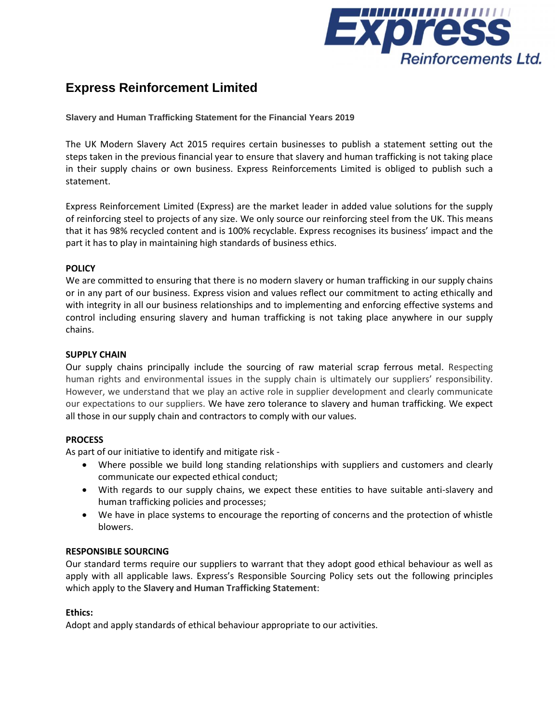

# **Express Reinforcement Limited**

**Slavery and Human Trafficking Statement for the Financial Years 2019**

The UK Modern Slavery Act 2015 requires certain businesses to publish a statement setting out the steps taken in the previous financial year to ensure that slavery and human trafficking is not taking place in their supply chains or own business. Express Reinforcements Limited is obliged to publish such a statement.

Express Reinforcement Limited (Express) are the market leader in added value solutions for the supply of reinforcing steel to projects of any size. We only source our reinforcing steel from the UK. This means that it has 98% recycled content and is 100% recyclable. Express recognises its business' impact and the part it has to play in maintaining high standards of business ethics.

# **POLICY**

We are committed to ensuring that there is no modern slavery or human trafficking in our supply chains or in any part of our business. Express vision and values reflect our commitment to acting ethically and with integrity in all our business relationships and to implementing and enforcing effective systems and control including ensuring slavery and human trafficking is not taking place anywhere in our supply chains.

## **SUPPLY CHAIN**

Our supply chains principally include the sourcing of raw material scrap ferrous metal. Respecting human rights and environmental issues in the supply chain is ultimately our suppliers' responsibility. However, we understand that we play an active role in supplier development and clearly communicate our expectations to our suppliers. We have zero tolerance to slavery and human trafficking. We expect all those in our supply chain and contractors to comply with our values.

## **PROCESS**

As part of our initiative to identify and mitigate risk -

- Where possible we build long standing relationships with suppliers and customers and clearly communicate our expected ethical conduct;
- With regards to our supply chains, we expect these entities to have suitable anti-slavery and human trafficking policies and processes;
- We have in place systems to encourage the reporting of concerns and the protection of whistle blowers.

## **RESPONSIBLE SOURCING**

Our standard terms require our suppliers to warrant that they adopt good ethical behaviour as well as apply with all applicable laws. Express's Responsible Sourcing Policy sets out the following principles which apply to the **Slavery and Human Trafficking Statement**:

## **Ethics:**

Adopt and apply standards of ethical behaviour appropriate to our activities.